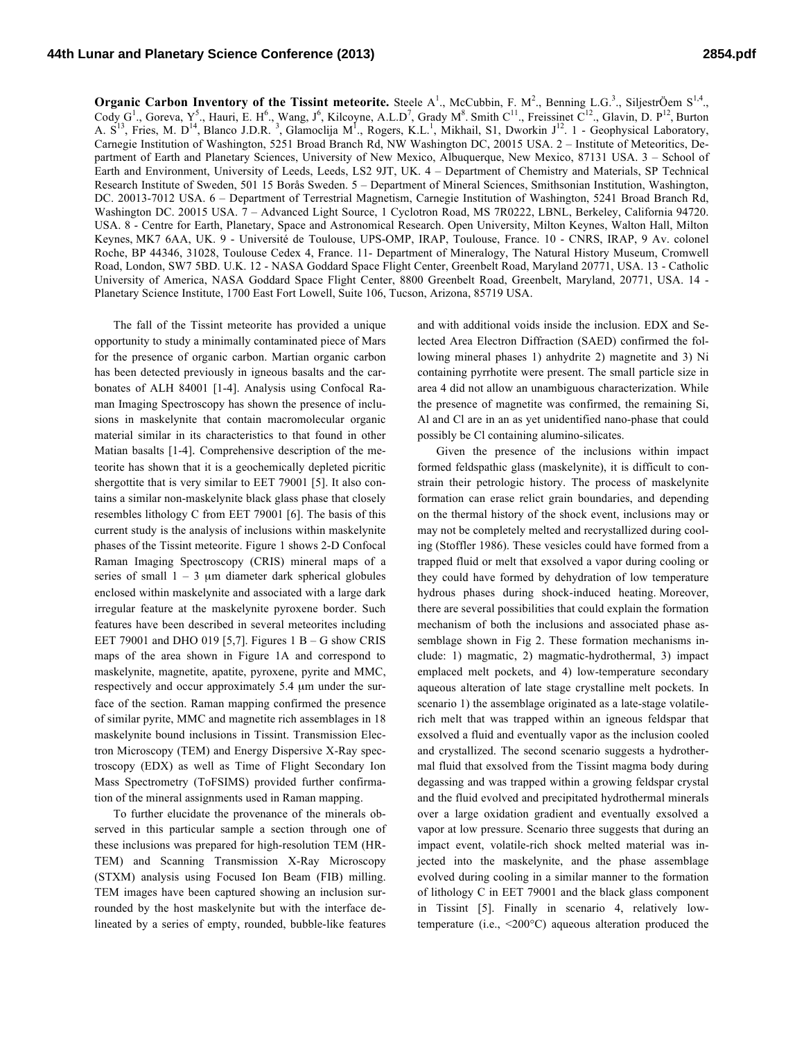## **44th Lunar and Planetary Science Conference (2013) 2854.pdf**

**Organic Carbon Inventory of the Tissint meteorite.** Steele  $A^1$ ., McCubbin, F. M<sup>2</sup>., Benning L.G.<sup>3</sup>., SiljestrÖem  $S^{1,4}$ ., Cody  $G^1$ ., Goreva,  $Y^5$ ., Hauri, E. H<sup>6</sup>., Wang, J<sup>6</sup>, Kilcoyne, A.L.D<sup>7</sup>, Grady M<sup>8</sup>. Smith C<sup>11</sup>., Freissinet C<sup>12</sup>., Glavin, D. P<sup>12</sup>, Burton A.  $S^{13}$ , Fries, M. D<sup>14</sup>, Blanco J.D.R.<sup>3</sup>, Glamoclija M<sup>1</sup>., Rogers, K.L.<sup>1</sup>, Mikhail, S1, Dworkin J<sup>12</sup>. 1 - Geophysical Laboratory, Carnegie Institution of Washington, 5251 Broad Branch Rd, NW Washington DC, 20015 USA. 2 – Institute of Meteoritics, Department of Earth and Planetary Sciences, University of New Mexico, Albuquerque, New Mexico, 87131 USA. 3 – School of Earth and Environment, University of Leeds, Leeds, LS2 9JT, UK. 4 – Department of Chemistry and Materials, SP Technical Research Institute of Sweden, 501 15 Borås Sweden. 5 – Department of Mineral Sciences, Smithsonian Institution, Washington, DC. 20013-7012 USA. 6 – Department of Terrestrial Magnetism, Carnegie Institution of Washington, 5241 Broad Branch Rd, Washington DC. 20015 USA. 7 – Advanced Light Source, 1 Cyclotron Road, MS 7R0222, LBNL, Berkeley, California 94720. USA. 8 - Centre for Earth, Planetary, Space and Astronomical Research. Open University, Milton Keynes, Walton Hall, Milton Keynes, MK7 6AA, UK. 9 - Université de Toulouse, UPS-OMP, IRAP, Toulouse, France. 10 - CNRS, IRAP, 9 Av. colonel Roche, BP 44346, 31028, Toulouse Cedex 4, France. 11- Department of Mineralogy, The Natural History Museum, Cromwell Road, London, SW7 5BD. U.K. 12 - NASA Goddard Space Flight Center, Greenbelt Road, Maryland 20771, USA. 13 - Catholic University of America, NASA Goddard Space Flight Center, 8800 Greenbelt Road, Greenbelt, Maryland, 20771, USA. 14 - Planetary Science Institute, 1700 East Fort Lowell, Suite 106, Tucson, Arizona, 85719 USA.

The fall of the Tissint meteorite has provided a unique opportunity to study a minimally contaminated piece of Mars for the presence of organic carbon. Martian organic carbon has been detected previously in igneous basalts and the carbonates of ALH 84001 [1-4]. Analysis using Confocal Raman Imaging Spectroscopy has shown the presence of inclusions in maskelynite that contain macromolecular organic material similar in its characteristics to that found in other Matian basalts [1-4]. Comprehensive description of the meteorite has shown that it is a geochemically depleted picritic shergottite that is very similar to EET 79001 [5]. It also contains a similar non-maskelynite black glass phase that closely resembles lithology C from EET 79001 [6]. The basis of this current study is the analysis of inclusions within maskelynite phases of the Tissint meteorite. Figure 1 shows 2-D Confocal Raman Imaging Spectroscopy (CRIS) mineral maps of a series of small  $1 - 3$  µm diameter dark spherical globules enclosed within maskelynite and associated with a large dark irregular feature at the maskelynite pyroxene border. Such features have been described in several meteorites including EET 79001 and DHO 019 [5,7]. Figures  $1 B - G$  show CRIS maps of the area shown in Figure 1A and correspond to maskelynite, magnetite, apatite, pyroxene, pyrite and MMC, respectively and occur approximately 5.4 µm under the surface of the section. Raman mapping confirmed the presence of similar pyrite, MMC and magnetite rich assemblages in 18 maskelynite bound inclusions in Tissint. Transmission Electron Microscopy (TEM) and Energy Dispersive X-Ray spectroscopy (EDX) as well as Time of Flight Secondary Ion Mass Spectrometry (ToFSIMS) provided further confirmation of the mineral assignments used in Raman mapping.

To further elucidate the provenance of the minerals observed in this particular sample a section through one of these inclusions was prepared for high-resolution TEM (HR-TEM) and Scanning Transmission X-Ray Microscopy (STXM) analysis using Focused Ion Beam (FIB) milling. TEM images have been captured showing an inclusion surrounded by the host maskelynite but with the interface delineated by a series of empty, rounded, bubble-like features

and with additional voids inside the inclusion. EDX and Selected Area Electron Diffraction (SAED) confirmed the following mineral phases 1) anhydrite 2) magnetite and 3) Ni containing pyrrhotite were present. The small particle size in area 4 did not allow an unambiguous characterization. While the presence of magnetite was confirmed, the remaining Si, Al and Cl are in an as yet unidentified nano-phase that could possibly be Cl containing alumino-silicates.

Given the presence of the inclusions within impact formed feldspathic glass (maskelynite), it is difficult to constrain their petrologic history. The process of maskelynite formation can erase relict grain boundaries, and depending on the thermal history of the shock event, inclusions may or may not be completely melted and recrystallized during cooling (Stoffler 1986). These vesicles could have formed from a trapped fluid or melt that exsolved a vapor during cooling or they could have formed by dehydration of low temperature hydrous phases during shock-induced heating. Moreover, there are several possibilities that could explain the formation mechanism of both the inclusions and associated phase assemblage shown in Fig 2. These formation mechanisms include: 1) magmatic, 2) magmatic-hydrothermal, 3) impact emplaced melt pockets, and 4) low-temperature secondary aqueous alteration of late stage crystalline melt pockets. In scenario 1) the assemblage originated as a late-stage volatilerich melt that was trapped within an igneous feldspar that exsolved a fluid and eventually vapor as the inclusion cooled and crystallized. The second scenario suggests a hydrothermal fluid that exsolved from the Tissint magma body during degassing and was trapped within a growing feldspar crystal and the fluid evolved and precipitated hydrothermal minerals over a large oxidation gradient and eventually exsolved a vapor at low pressure. Scenario three suggests that during an impact event, volatile-rich shock melted material was injected into the maskelynite, and the phase assemblage evolved during cooling in a similar manner to the formation of lithology C in EET 79001 and the black glass component in Tissint [5]. Finally in scenario 4, relatively lowtemperature (i.e., <200°C) aqueous alteration produced the